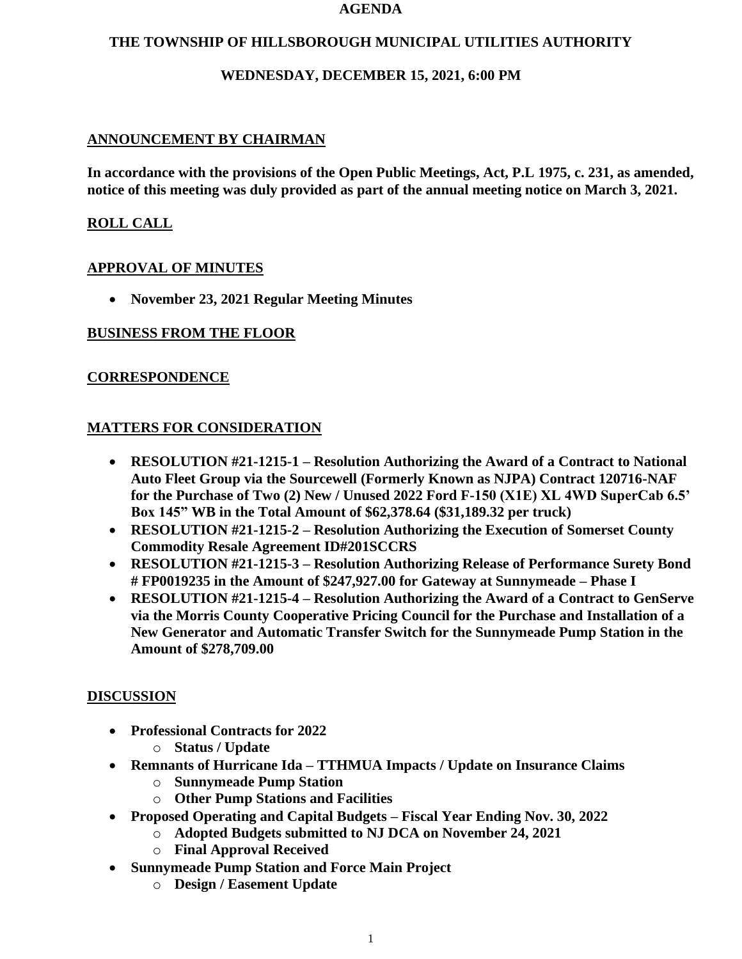#### **AGENDA**

## **THE TOWNSHIP OF HILLSBOROUGH MUNICIPAL UTILITIES AUTHORITY**

## **WEDNESDAY, DECEMBER 15, 2021, 6:00 PM**

# **ANNOUNCEMENT BY CHAIRMAN**

**In accordance with the provisions of the Open Public Meetings, Act, P.L 1975, c. 231, as amended, notice of this meeting was duly provided as part of the annual meeting notice on March 3, 2021.**

# **ROLL CALL**

## **APPROVAL OF MINUTES**

• **November 23, 2021 Regular Meeting Minutes**

## **BUSINESS FROM THE FLOOR**

## **CORRESPONDENCE**

## **MATTERS FOR CONSIDERATION**

- **RESOLUTION #21-1215-1 – Resolution Authorizing the Award of a Contract to National Auto Fleet Group via the Sourcewell (Formerly Known as NJPA) Contract 120716-NAF for the Purchase of Two (2) New / Unused 2022 Ford F-150 (X1E) XL 4WD SuperCab 6.5' Box 145" WB in the Total Amount of \$62,378.64 (\$31,189.32 per truck)**
- **RESOLUTION #21-1215-2 – Resolution Authorizing the Execution of Somerset County Commodity Resale Agreement ID#201SCCRS**
- **RESOLUTION #21-1215-3 – Resolution Authorizing Release of Performance Surety Bond # FP0019235 in the Amount of \$247,927.00 for Gateway at Sunnymeade – Phase I**
- **RESOLUTION #21-1215-4 – Resolution Authorizing the Award of a Contract to GenServe via the Morris County Cooperative Pricing Council for the Purchase and Installation of a New Generator and Automatic Transfer Switch for the Sunnymeade Pump Station in the Amount of \$278,709.00**

## **DISCUSSION**

- **Professional Contracts for 2022**
	- o **Status / Update**
- **Remnants of Hurricane Ida – TTHMUA Impacts / Update on Insurance Claims**
	- o **Sunnymeade Pump Station**
	- o **Other Pump Stations and Facilities**
- **Proposed Operating and Capital Budgets – Fiscal Year Ending Nov. 30, 2022**
	- o **Adopted Budgets submitted to NJ DCA on November 24, 2021**
	- o **Final Approval Received**
- **Sunnymeade Pump Station and Force Main Project**
	- o **Design / Easement Update**